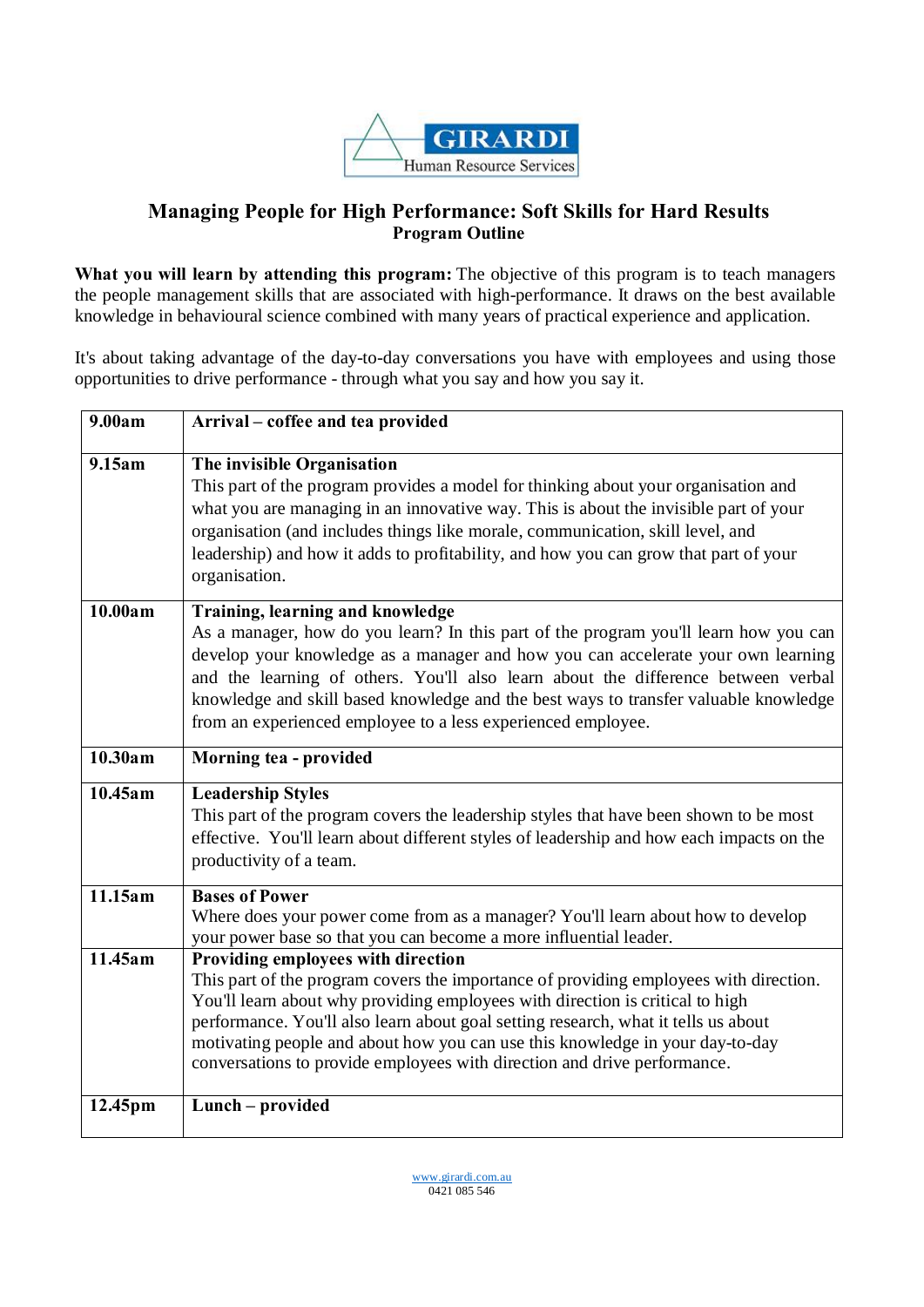

## **Managing People for High Performance: Soft Skills for Hard Results Program Outline**

**What you will learn by attending this program:** The objective of this program is to teach managers the people management skills that are associated with high-performance. It draws on the best available knowledge in behavioural science combined with many years of practical experience and application.

It's about taking advantage of the day-to-day conversations you have with employees and using those opportunities to drive performance - through what you say and how you say it.

| 9.00am  | Arrival – coffee and tea provided                                                                                                                                                                                                                                                                                                                                                                                                                               |
|---------|-----------------------------------------------------------------------------------------------------------------------------------------------------------------------------------------------------------------------------------------------------------------------------------------------------------------------------------------------------------------------------------------------------------------------------------------------------------------|
| 9.15am  | The invisible Organisation<br>This part of the program provides a model for thinking about your organisation and<br>what you are managing in an innovative way. This is about the invisible part of your<br>organisation (and includes things like morale, communication, skill level, and<br>leadership) and how it adds to profitability, and how you can grow that part of your<br>organisation.                                                             |
| 10.00am | Training, learning and knowledge<br>As a manager, how do you learn? In this part of the program you'll learn how you can<br>develop your knowledge as a manager and how you can accelerate your own learning<br>and the learning of others. You'll also learn about the difference between verbal<br>knowledge and skill based knowledge and the best ways to transfer valuable knowledge<br>from an experienced employee to a less experienced employee.       |
| 10.30am | Morning tea - provided                                                                                                                                                                                                                                                                                                                                                                                                                                          |
| 10.45am | <b>Leadership Styles</b><br>This part of the program covers the leadership styles that have been shown to be most<br>effective. You'll learn about different styles of leadership and how each impacts on the<br>productivity of a team.                                                                                                                                                                                                                        |
| 11.15am | <b>Bases of Power</b><br>Where does your power come from as a manager? You'll learn about how to develop<br>your power base so that you can become a more influential leader.                                                                                                                                                                                                                                                                                   |
| 11.45am | Providing employees with direction<br>This part of the program covers the importance of providing employees with direction.<br>You'll learn about why providing employees with direction is critical to high<br>performance. You'll also learn about goal setting research, what it tells us about<br>motivating people and about how you can use this knowledge in your day-to-day<br>conversations to provide employees with direction and drive performance. |
| 12.45pm | Lunch - provided                                                                                                                                                                                                                                                                                                                                                                                                                                                |

www.girardi.com.au 0421 085 546